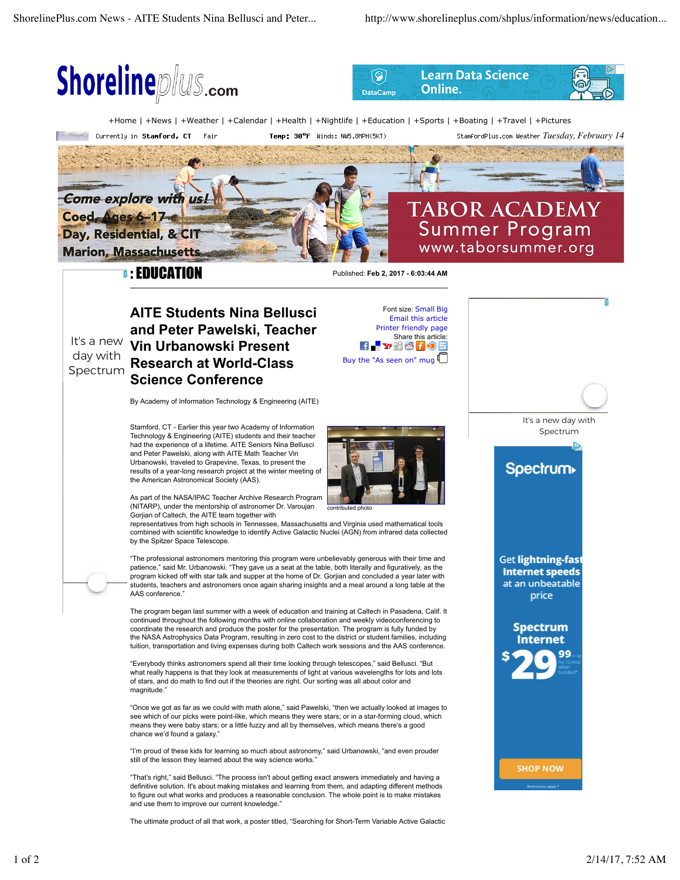